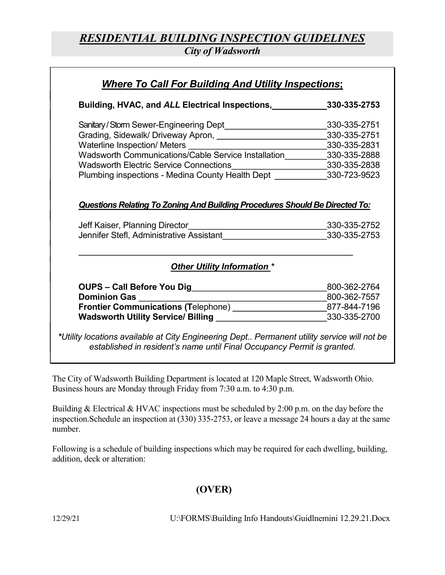## RESIDENTIAL BUILDING INSPECTION GUIDELINES

City of Wadsworth

| Building, HVAC, and ALL Electrical Inspections, 330-335-2753                                                                                                                                                                       |                              |
|------------------------------------------------------------------------------------------------------------------------------------------------------------------------------------------------------------------------------------|------------------------------|
| Sanitary/Storm Sewer-Engineering Dept_____________________________330-335-2751                                                                                                                                                     |                              |
| Grading, Sidewalk/ Driveway Apron, [1982] [2002] [2003] [2003] [2003] [2003] [2004] [2003] [2004] [2004] [2004                                                                                                                     | 330-335-2751                 |
|                                                                                                                                                                                                                                    |                              |
|                                                                                                                                                                                                                                    |                              |
| Wadsworth Electric Service Connections____________________________330-335-2838                                                                                                                                                     |                              |
| Plumbing inspections - Medina County Health Dept ______________330-723-9523                                                                                                                                                        |                              |
| <b>Questions Relating To Zoning And Building Procedures Should Be Directed To:</b>                                                                                                                                                 |                              |
| Jennifer Stefl, Administrative Assistant <b>Subset Concernsive</b> 330-335-2753                                                                                                                                                    |                              |
| <b>Other Utility Information *</b>                                                                                                                                                                                                 |                              |
|                                                                                                                                                                                                                                    |                              |
| <b>Dominion Gas Exercise Service Service Service Service Service Service Service Service Service Service Service Service Service Service Service Service Service Service Service Service Service Service Service Service Servi</b> |                              |
| Frontier Communications (Telephone) ____________________________877-844-7196                                                                                                                                                       | 800-362-2764<br>800-362-7557 |

The City of Wadsworth Building Department is located at 120 Maple Street, Wadsworth Ohio. Business hours are Monday through Friday from 7:30 a.m. to 4:30 p.m.

Building & Electrical & HVAC inspections must be scheduled by 2:00 p.m. on the day before the inspection.Schedule an inspection at (330) 335-2753, or leave a message 24 hours a day at the same number.

Following is a schedule of building inspections which may be required for each dwelling, building, addition, deck or alteration:

## (OVER)